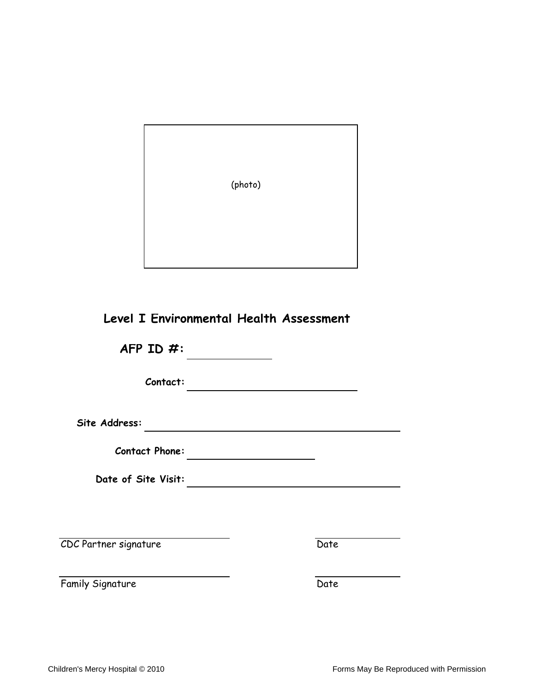(photo)

## **Level I Environmental Health Assessment**

**AFP ID #:**

**Contact:**

**Site Address:**

**Contact Phone:**

**Date of Site Visit:**

CDC Partner signature Date

Family Signature Date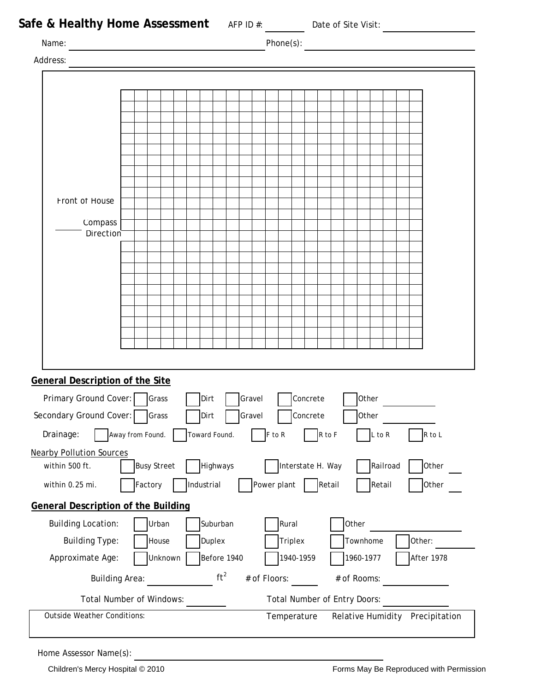| Safe & Healthy Home Assessment AFP ID #: _______ Date of Site Visit: ___________ |                  |                    |               |             |        |              |                                     |          |        |             |            |            |        |  |
|----------------------------------------------------------------------------------|------------------|--------------------|---------------|-------------|--------|--------------|-------------------------------------|----------|--------|-------------|------------|------------|--------|--|
| Name:                                                                            |                  |                    |               |             |        |              | Phone(s): $\qquad \qquad$           |          |        |             |            |            |        |  |
| Address:                                                                         |                  |                    |               |             |        |              |                                     |          |        |             |            |            |        |  |
|                                                                                  |                  |                    |               |             |        |              |                                     |          |        |             |            |            |        |  |
|                                                                                  |                  |                    |               |             |        |              |                                     |          |        |             |            |            |        |  |
|                                                                                  |                  |                    |               |             |        |              |                                     |          |        |             |            |            |        |  |
|                                                                                  |                  |                    |               |             |        |              |                                     |          |        |             |            |            |        |  |
|                                                                                  |                  |                    |               |             |        |              |                                     |          |        |             |            |            |        |  |
|                                                                                  |                  |                    |               |             |        |              |                                     |          |        |             |            |            |        |  |
|                                                                                  |                  |                    |               |             |        |              |                                     |          |        |             |            |            |        |  |
| Front of House                                                                   |                  |                    |               |             |        |              |                                     |          |        |             |            |            |        |  |
| Compass                                                                          |                  |                    |               |             |        |              |                                     |          |        |             |            |            |        |  |
| Direction                                                                        |                  |                    |               |             |        |              |                                     |          |        |             |            |            |        |  |
|                                                                                  |                  |                    |               |             |        |              |                                     |          |        |             |            |            |        |  |
|                                                                                  |                  |                    |               |             |        |              |                                     |          |        |             |            |            |        |  |
|                                                                                  |                  |                    |               |             |        |              |                                     |          |        |             |            |            |        |  |
|                                                                                  |                  |                    |               |             |        |              |                                     |          |        |             |            |            |        |  |
|                                                                                  |                  |                    |               |             |        |              |                                     |          |        |             |            |            |        |  |
|                                                                                  |                  |                    |               |             |        |              |                                     |          |        |             |            |            |        |  |
|                                                                                  |                  |                    |               |             |        |              |                                     |          |        |             |            |            |        |  |
| General Description of the Site                                                  |                  |                    |               |             |        |              |                                     |          |        |             |            |            |        |  |
| Primary Ground Cover:   Grass                                                    |                  |                    | Dirt          |             | Gravel |              |                                     | Concrete |        | Other       |            |            |        |  |
| Secondary Ground Cover:                                                          |                  | Grass              | Dirt          |             | Gravel |              |                                     | Concrete |        | Other       |            |            |        |  |
| Drainage:                                                                        | Away from Found. |                    | Toward Found. |             |        | F to R       |                                     |          | R to F |             | $L$ to $R$ |            | R to L |  |
| <b>Nearby Pollution Sources</b>                                                  |                  |                    |               |             |        |              |                                     |          |        |             |            |            |        |  |
| within 500 ft.                                                                   |                  | <b>Busy Street</b> |               | Highways    |        |              | Interstate H. Way                   |          |        |             | Railroad   |            | Other  |  |
| within 0.25 mi.                                                                  | Factory          |                    | Industrial    |             |        |              | Power plant                         |          | Retail |             | Retail     |            | Other  |  |
| <b>General Description of the Building</b>                                       |                  |                    |               |             |        |              |                                     |          |        |             |            |            |        |  |
| <b>Building Location:</b>                                                        |                  | Urban              |               | Suburban    |        |              | Rural                               |          |        | Other       |            |            |        |  |
| <b>Building Type:</b>                                                            |                  | House              |               | Duplex      |        |              | <b>Triplex</b>                      |          |        | Townhome    |            | Other:     |        |  |
| Approximate Age:                                                                 |                  | Unknown            |               | Before 1940 |        |              | 1940-1959                           |          |        | 1960-1977   |            | After 1978 |        |  |
|                                                                                  |                  |                    |               | $ft^2$      |        | # of Floors: |                                     |          |        | # of Rooms: |            |            |        |  |
| <b>Building Area:</b>                                                            |                  |                    |               |             |        |              |                                     |          |        |             |            |            |        |  |
| <b>Total Number of Windows:</b>                                                  |                  |                    |               |             |        |              | <b>Total Number of Entry Doors:</b> |          |        |             |            |            |        |  |

Home Assessor Name(s):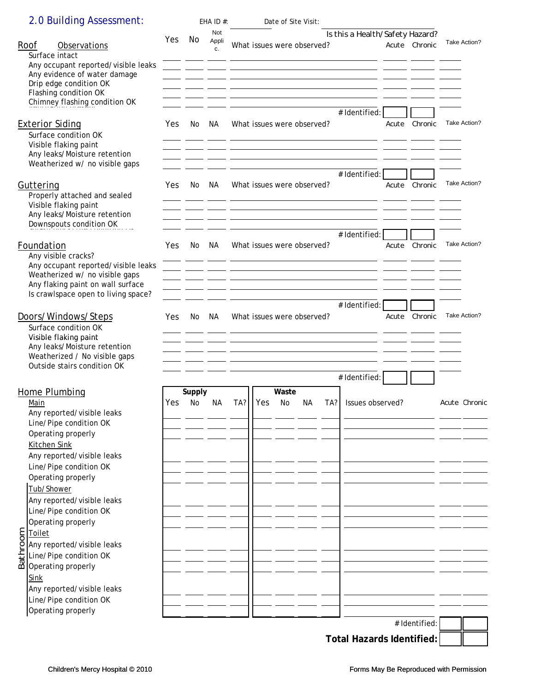## 2.0 Building Assessment: EHA ID #: Date of Site Visit:

| Roof<br>Observations                                                                                           |     |           | Not         |     |     |           |                            |     | Is this a Health/Safety Hazard?                                                                                        |       |               |               |
|----------------------------------------------------------------------------------------------------------------|-----|-----------|-------------|-----|-----|-----------|----------------------------|-----|------------------------------------------------------------------------------------------------------------------------|-------|---------------|---------------|
| Surface intact                                                                                                 | Yes | No        | Appli<br>c. |     |     |           | What issues were observed? |     | <u> 1980 - Jan James Sammer, amerikansk politiker (d. 1980)</u>                                                        |       | Acute Chronic | Take Action?  |
| Any occupant reported/visible leaks<br>Any evidence of water damage<br>Drip edge condition OK                  |     |           |             |     |     |           |                            |     |                                                                                                                        |       |               |               |
| Flashing condition OK                                                                                          |     |           |             |     |     |           |                            |     |                                                                                                                        |       |               |               |
| Chimney flashing condition OK                                                                                  |     |           |             |     |     |           |                            |     | # Identified:                                                                                                          |       |               |               |
| <b>Exterior Siding</b><br>Surface condition OK<br>Visible flaking paint                                        | Yes | No        | NA          |     |     |           | What issues were observed? |     |                                                                                                                        | Acute | Chronic       | Take Action?  |
| Any leaks/Moisture retention<br>Weatherized w/ no visible gaps                                                 |     |           |             |     |     |           |                            |     | the contract of the contract of the contract of the contract of the contract of                                        |       |               |               |
| Guttering<br>Properly attached and sealed<br>Visible flaking paint                                             | Yes | No.       | NA.         |     |     |           | What issues were observed? |     | # Identified:                                                                                                          | Acute | Chronic       | Take Action?  |
| Any leaks/Moisture retention<br>Downspouts condition OK                                                        |     |           |             |     |     |           |                            |     |                                                                                                                        |       |               |               |
| Foundation<br>Any visible cracks?                                                                              | Yes | No.       | NA.         |     |     |           | What issues were observed? |     | # Identified:                                                                                                          |       | Acute Chronic | Take Action?  |
| Any occupant reported/visible leaks<br>Weatherized w/ no visible gaps<br>Any flaking paint on wall surface     |     |           |             |     |     |           |                            |     | <u> 1980 - Andrea Barbara, amerikana amerikana amerikana amerikana amerikana amerikana amerikana amerikana amerika</u> |       |               |               |
| Is crawlspace open to living space?                                                                            |     |           |             |     |     |           |                            |     | # Identified:                                                                                                          |       |               |               |
| Doors/Windows/Steps<br>Surface condition OK<br>Visible flaking paint                                           | Yes | No.       | NA.         |     |     |           | What issues were observed? |     |                                                                                                                        | Acute | Chronic       | Take Action?  |
| Any leaks/Moisture retention<br>Weatherized / No visible gaps<br>Outside stairs condition OK                   |     |           |             |     |     |           |                            |     |                                                                                                                        |       |               |               |
|                                                                                                                |     |           |             |     |     |           |                            |     | # Identified:                                                                                                          |       |               |               |
| Home Plumbing                                                                                                  |     | Supply    |             |     |     | Waste     |                            |     |                                                                                                                        |       |               |               |
| Main<br>Any reported/visible leaks                                                                             | Yes | <b>No</b> | <b>NA</b>   | TA? | Yes | <b>No</b> | <b>NA</b>                  | TA? | Issues observed?                                                                                                       |       |               | Acute Chronic |
| Line/Pipe condition OK<br>Operating properly<br>Kitchen Sink                                                   |     |           |             |     |     |           |                            |     |                                                                                                                        |       |               |               |
| Any reported/visible leaks<br>Line/Pipe condition OK                                                           |     |           |             |     |     |           |                            |     |                                                                                                                        |       |               |               |
| Operating properly<br>Tub/Shower                                                                               |     |           |             |     |     |           |                            |     |                                                                                                                        |       |               |               |
| Any reported/visible leaks<br>Line/Pipe condition OK<br>Operating properly                                     |     |           |             |     |     |           |                            |     |                                                                                                                        |       |               |               |
|                                                                                                                |     |           |             |     |     |           |                            |     |                                                                                                                        |       |               |               |
| E<br>Oliet<br>Any reported/visible<br>Line/Pipe condition<br>Coperating properly<br>Any reported/visible leaks |     |           |             |     |     |           |                            |     |                                                                                                                        |       |               |               |
| Line/Pipe condition OK                                                                                         |     |           |             |     |     |           |                            |     |                                                                                                                        |       |               |               |
|                                                                                                                |     |           |             |     |     |           |                            |     |                                                                                                                        |       |               |               |
|                                                                                                                |     |           |             |     |     |           |                            |     |                                                                                                                        |       |               |               |
| <b>Sink</b><br>Any reported/visible leaks                                                                      |     |           |             |     |     |           |                            |     |                                                                                                                        |       |               |               |
| Line/Pipe condition OK<br>Operating properly                                                                   |     |           |             |     |     |           |                            |     |                                                                                                                        |       |               |               |

**Total Hazards Identified:**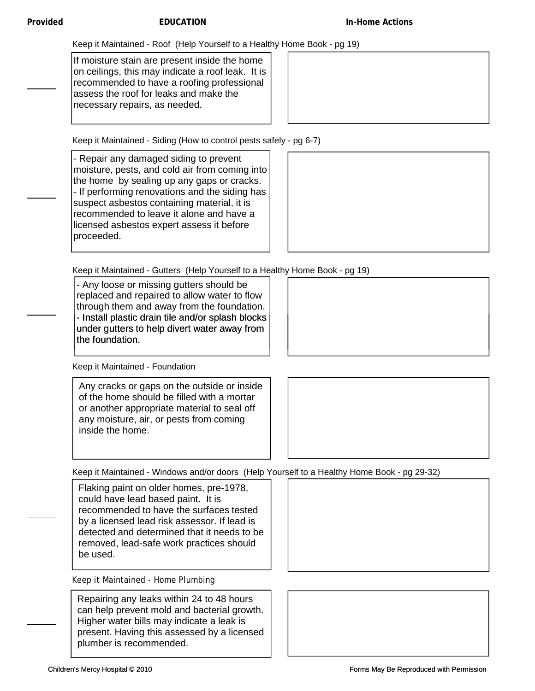Keep it Maintained - Roof (Help Yourself to a Healthy Home Book - pg 19)

If moisture stain are present inside the home on ceilings, this may indicate a roof leak. It is recommended to have a roofing professional assess the roof for leaks and make the necessary repairs, as needed.



Keep it Maintained - Siding (How to control pests safely - pg 6-7)

- Repair any damaged siding to prevent moisture, pests, and cold air from coming into the home by sealing up any gaps or cracks. - If performing renovations and the siding has suspect asbestos containing material, it is recommended to leave it alone and have a licensed asbestos expert assess it before proceeded.



Keep it Maintained - Gutters (Help Yourself to a Healthy Home Book - pg 19)

- Any loose or missing gutters should be replaced and repaired to allow water to flow through them and away from the foundation. - Install plastic drain tile and/or splash blocks under gutters to help divert water away from the foundation.

Keep it Maintained - Foundation

Any cracks or gaps on the outside or inside of the home should be filled with a mortar or another appropriate material to seal off any moisture, air, or pests from coming inside the home.



Keep it Maintained - Windows and/or doors (Help Yourself to a Healthy Home Book - pg 29-32)

Flaking paint on older homes, pre-1978, could have lead based paint. It is recommended to have the surfaces tested by a licensed lead risk assessor. If lead is detected and determined that it needs to be removed, lead-safe work practices should be used.

Keep it Maintained - Home Plumbing

Repairing any leaks within 24 to 48 hours can help prevent mold and bacterial growth. Higher water bills may indicate a leak is present. Having this assessed by a licensed plumber is recommended.

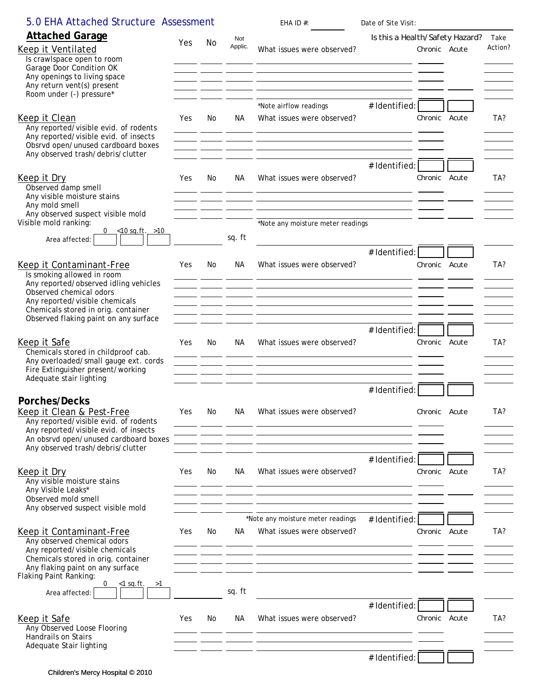| 5.0 EHA Attached Structure Assessment                                                                |     |     |                  | EHA ID $#$ :                                                                                                                                                                                                                                   | Date of Site Visit:             |               |                 |
|------------------------------------------------------------------------------------------------------|-----|-----|------------------|------------------------------------------------------------------------------------------------------------------------------------------------------------------------------------------------------------------------------------------------|---------------------------------|---------------|-----------------|
| <b>Attached Garage</b><br>Keep it Ventilated<br>Is crawlspace open to room                           | Yes | No  | Not<br>Applic.   | What issues were observed?                                                                                                                                                                                                                     | Is this a Health/Safety Hazard? | Chronic Acute | Take<br>Action? |
| Garage Door Condition OK<br>Any openings to living space<br>Any return vent(s) present               |     |     |                  | <u> 1989 - Andrea San Andrea Andrea Andrea Andrea Andrea Andrea Andrea Andrea Andrea Andrea Andrea Andrea Andrea</u>                                                                                                                           |                                 |               |                 |
| Room under (-) pressure*                                                                             |     |     |                  |                                                                                                                                                                                                                                                |                                 |               |                 |
| Keep it Clean<br>Any reported/visible evid. of rodents<br>Any reported/visible evid. of insects      | Yes | No. | NA               | *Note airflow readings<br>What issues were observed?<br><u> 1999 - Jan James James, martin amerikan basar (j. 1918)</u>                                                                                                                        | # Identified:                   | Chronic Acute | TA?             |
| Obsrvd open/unused cardboard boxes<br>Any observed trash/debris/clutter                              |     |     |                  | <u> 1989 - Andrea Andrew Maria (h. 1989).</u><br>1905 - Andrew Maria (h. 1906).                                                                                                                                                                |                                 |               |                 |
| Keep it Dry<br>Observed damp smell<br>Any visible moisture stains                                    | Yes | No  | NА               | What issues were observed?<br><u> 1963 - Johann John Stone, mars and deutscher Stone (beginnten der Stone (beginnten der Stone Stone (beginnte</u>                                                                                             | # Identified:                   | Chronic Acute | TA?             |
| Any mold smell<br>Any observed suspect visible mold                                                  |     |     |                  |                                                                                                                                                                                                                                                |                                 |               |                 |
| Visible mold ranking:<br>$0 \le 10$ sq.ft. >10                                                       |     |     | sq. ft           | *Note any moisture meter readings                                                                                                                                                                                                              |                                 |               |                 |
| Area affected:                                                                                       |     |     |                  |                                                                                                                                                                                                                                                | # Identified:                   |               |                 |
| Keep it Contaminant-Free<br>Is smoking allowed in room                                               | Yes | No  | NА               | What issues were observed?<br><u> 1988 - Jan James James, maria eta bainar eta bat zen bat zen bat zen bat zen bat zen bat zen bat zen bat zen</u>                                                                                             |                                 | Chronic Acute | TA?             |
| Any reported/observed idling vehicles<br>Observed chemical odors                                     |     |     |                  | <u> 2000 - 2000 - 2000 - 2000 - 2000 - 2000 - 2000 - 2000 - 2000 - 2000 - 2000 - 2000 - 2000 - 2000 - 2000 - 200</u>                                                                                                                           |                                 |               |                 |
| Any reported/visible chemicals<br>Chemicals stored in orig. container                                |     |     |                  | <u> 1990 - Jan James James, politik eta industrial eta industrial eta industrial eta industrial eta industrial e</u><br><u> 1986 - An Dùbhlachd ann an Dùbhlachd ann an Dùbhlachd ann an Dùbhlachd ann an Dùbhlachd ann an Dùbhlachd ann a</u> |                                 |               |                 |
| Observed flaking paint on any surface                                                                |     |     |                  |                                                                                                                                                                                                                                                |                                 |               |                 |
| Keep it Safe<br>Chemicals stored in childproof cab.<br>Any overloaded/small gauge ext. cords         | Yes | No  | NA.              | What issues were observed?                                                                                                                                                                                                                     | # Identified:                   | Chronic Acute | TA?             |
| Fire Extinguisher present/working<br>Adequate stair lighting                                         |     |     |                  | <u> 1950 - Johann John Stein, mars et al. 1950 - John Stein, mars et al. 1950 - John Stein, mars et al. 1950 - J</u>                                                                                                                           |                                 |               |                 |
|                                                                                                      |     |     |                  |                                                                                                                                                                                                                                                | # Identified:                   |               |                 |
| Porches/Decks<br>Keep it Clean & Pest-Free<br>Any reported/visible evid. of rodents                  | Yes | No  | NА               | What issues were observed?                                                                                                                                                                                                                     |                                 | Chronic Acute | TA?             |
| Any reported/visible evid. of insects<br>An obsrvd open/unused cardboard boxes                       |     |     |                  | <u> 1980 - Antonio Jacques de Arabia (n. 1980).</u><br>1900 - Antonio Galicio II de Arabia (n. 1900).<br><u> 1989 - Johann Stein, mars an de Britannich (b. 1989)</u>                                                                          |                                 |               |                 |
| Any observed trash/debris/clutter<br>Keep it Dry                                                     | Yes | No. | NA.              | What issues were observed?                                                                                                                                                                                                                     | # Identified:                   | Chronic Acute | TA?             |
| Any visible moisture stains<br>Any Visible Leaks*<br>Observed mold smell                             |     |     | and the contract | <u> 1988 - Jan James James Barbara, politik eta politikaria (h. 1988).</u><br>1900 - Johann Barbara, italiar eta politikaria (h. 1900).                                                                                                        |                                 |               |                 |
| Any observed suspect visible mold                                                                    |     |     |                  | <u> 1988 - Andrea Andrea Andrea Andrea Andrea Andrea Andrea Andrea Andrea Andrea Andrea Andrea Andrea Andrea And</u>                                                                                                                           |                                 |               |                 |
| Keep it Contaminant-Free<br>Any observed chemical odors<br>Any reported/visible chemicals            | Yes | No  | NA.              | *Note any moisture meter readings<br>What issues were observed?                                                                                                                                                                                | # Identified:                   | Chronic Acute | TA?             |
| Chemicals stored in orig. container<br>Any flaking paint on any surface<br>Flaking Paint Ranking:    |     |     |                  | <u> 1980 - Andrea Stadt Britain, amerikan beste beste beste beste beste beste beste beste beste beste beste best</u>                                                                                                                           |                                 |               |                 |
| $<$ 1 sq.ft.<br>0<br>>1<br>Area affected:                                                            |     |     | sq. ft           |                                                                                                                                                                                                                                                |                                 |               |                 |
|                                                                                                      |     |     |                  |                                                                                                                                                                                                                                                | # Identified:                   |               |                 |
| Keep it Safe<br>Any Observed Loose Flooring<br><b>Handrails on Stairs</b><br>Adequate Stair lighting | Yes | No. | NА               | What issues were observed?                                                                                                                                                                                                                     |                                 | Chronic Acute | TA?             |
|                                                                                                      |     |     |                  |                                                                                                                                                                                                                                                | # Identified:                   |               |                 |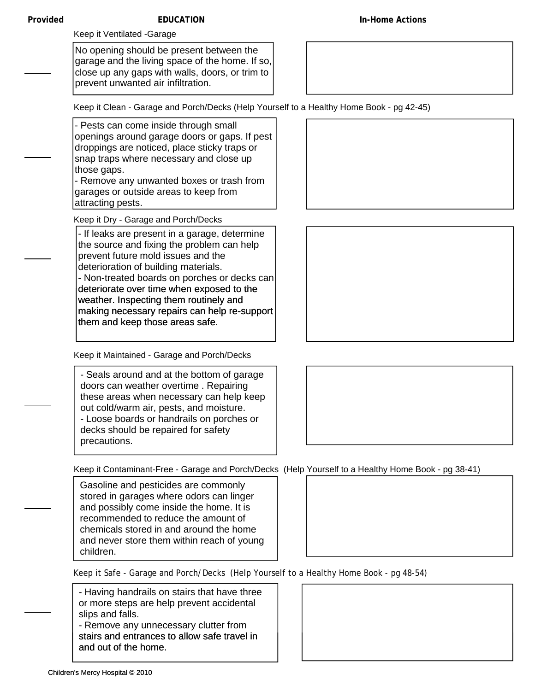#### **Provided EDUCATION**

Keep it Ventilated -Garage

No opening should be present between the garage and the living space of the home. If so, close up any gaps with walls, doors, or trim to prevent unwanted air infiltration.

Keep it Clean - Garage and Porch/Decks (Help Yourself to a Healthy Home Book - pg 42-45)

- Pests can come inside through small openings around garage doors or gaps. If pest droppings are noticed, place sticky traps or snap traps where necessary and close up those gaps.

- Remove any unwanted boxes or trash from garages or outside areas to keep from attracting pests.

Keep it Dry - Garage and Porch/Decks

- If leaks are present in a garage, determine the source and fixing the problem can help prevent future mold issues and the deterioration of building materials. - Non-treated boards on porches or decks can deteriorate over time when exposed to the deteriorate over time when exposed to the weather. Inspecting them routinely and making necessary repairs can help re-support them and keep those areas safe.

Keep it Maintained - Garage and Porch/Decks

| - Seals around and at the bottom of garage |
|--------------------------------------------|
| doors can weather overtime. Repairing      |
| these areas when necessary can help keep   |
| out cold/warm air, pests, and moisture.    |
| - Loose boards or handrails on porches or  |
| decks should be repaired for safety        |
| precautions.                               |





Keep it Contaminant-Free - Garage and Porch/Decks (Help Yourself to a Healthy Home Book - pg 38-41)

Gasoline and pesticides are commonly stored in garages where odors can linger and possibly come inside the home. It is recommended to reduce the amount of chemicals stored in and around the home and never store them within reach of young children.

Keep it Safe - Garage and Porch/Decks (Help Yourself to a Healthy Home Book - pg 48-54)

- Having handrails on stairs that have three or more steps are help prevent accidental slips and falls.

- Remove any unnecessary clutter from stairs and entrances to allow safe travel in and out of the home.

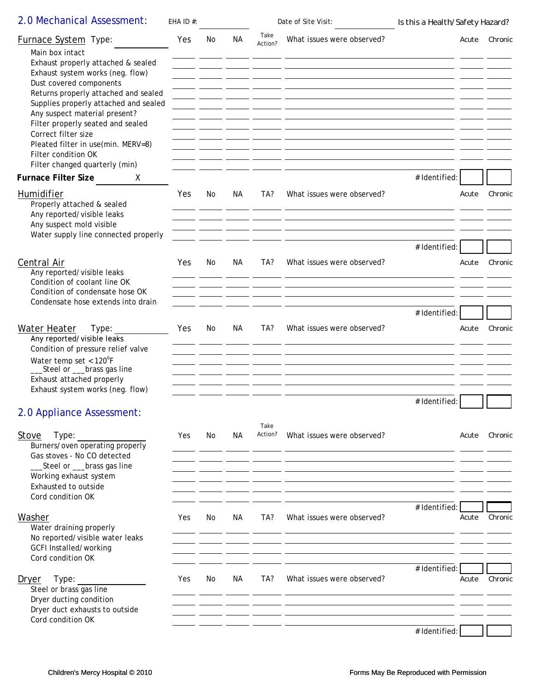| 2.0 Mechanical Assessment:                                                                                                                                                                                                                                                                                                                                                                                                | EHA ID $#$ : |     |     |                 | Date of Site Visit:                                                                | Is this a Health/Safety Hazard? |              |         |
|---------------------------------------------------------------------------------------------------------------------------------------------------------------------------------------------------------------------------------------------------------------------------------------------------------------------------------------------------------------------------------------------------------------------------|--------------|-----|-----|-----------------|------------------------------------------------------------------------------------|---------------------------------|--------------|---------|
| Furnace System Type:<br>Main box intact<br>Exhaust properly attached & sealed<br>Exhaust system works (neg. flow)<br>Dust covered components<br>Returns properly attached and sealed<br>Supplies properly attached and sealed<br>Any suspect material present?<br>Filter properly seated and sealed<br>Correct filter size<br>Pleated filter in use(min. MERV=8)<br>Filter condition OK<br>Filter changed quarterly (min) | Yes          | No  | NA. | Take<br>Action? | What issues were observed?                                                         |                                 | <i>Acute</i> | Chronic |
| <b>Furnace Filter Size</b><br>X                                                                                                                                                                                                                                                                                                                                                                                           |              |     |     |                 |                                                                                    | # Identified:                   |              |         |
| Humidifier<br>Properly attached & sealed<br>Any reported/visible leaks<br>Any suspect mold visible<br>Water supply line connected properly                                                                                                                                                                                                                                                                                | Yes          | No  | NA  | TA?             | What issues were observed?                                                         |                                 | Acute        | Chronic |
|                                                                                                                                                                                                                                                                                                                                                                                                                           |              |     |     |                 |                                                                                    | # Identified:                   |              |         |
| Central Air<br>Any reported/visible leaks<br>Condition of coolant line OK<br>Condition of condensate hose OK                                                                                                                                                                                                                                                                                                              | Yes          | No  | NА  | TA?             | What issues were observed?                                                         |                                 | Acute        | Chronic |
| Condensate hose extends into drain                                                                                                                                                                                                                                                                                                                                                                                        |              |     |     |                 |                                                                                    | # Identified:                   |              |         |
| Water Heater<br>Type:<br>Any reported/visible leaks<br>Condition of pressure relief valve<br>Water temp set < $120^{\circ}F$<br>_Steel or ___brass gas line<br>Exhaust attached properly<br>Exhaust system works (neg. flow)                                                                                                                                                                                              | Yes          | No  | NA. | TA?             | What issues were observed?                                                         |                                 | Acute        | Chronic |
|                                                                                                                                                                                                                                                                                                                                                                                                                           |              |     |     |                 |                                                                                    | # Identified:                   |              |         |
| 2.0 Appliance Assessment:                                                                                                                                                                                                                                                                                                                                                                                                 |              |     |     |                 |                                                                                    |                                 |              |         |
| Stove<br>Type:<br>Burners/oven operating properly<br>Gas stoves - No CO detected<br>_Steel or ___brass gas line                                                                                                                                                                                                                                                                                                           | Yes          | No. | NА  | Take<br>Action? | What issues were observed?                                                         |                                 | Acute        | Chronic |
| Working exhaust system                                                                                                                                                                                                                                                                                                                                                                                                    |              |     |     |                 |                                                                                    |                                 |              |         |
| Exhausted to outside<br>Cord condition OK                                                                                                                                                                                                                                                                                                                                                                                 |              |     |     |                 |                                                                                    |                                 |              |         |
| Washer<br>Water draining properly                                                                                                                                                                                                                                                                                                                                                                                         | Yes          | No. | NA. | TA?             | What issues were observed?                                                         | # Identified:                   | Acute        | Chronic |
| No reported/visible water leaks<br><b>GCFI Installed/working</b>                                                                                                                                                                                                                                                                                                                                                          |              |     |     |                 | <u> 1980 - Andrea San Andrea San Andrea San Andrea San Andrea San Andrea San A</u> |                                 |              |         |
| Cord condition OK<br>Dryer<br>Type:<br>Steel or brass gas line<br>Dryer ducting condition                                                                                                                                                                                                                                                                                                                                 | Yes          | No  | NA. | TA?             | What issues were observed?                                                         | # Identified:                   | Acute        | Chronic |
| Dryer duct exhausts to outside<br>Cord condition OK                                                                                                                                                                                                                                                                                                                                                                       |              |     |     |                 |                                                                                    |                                 |              |         |
|                                                                                                                                                                                                                                                                                                                                                                                                                           |              |     |     |                 |                                                                                    | # Identified:                   |              |         |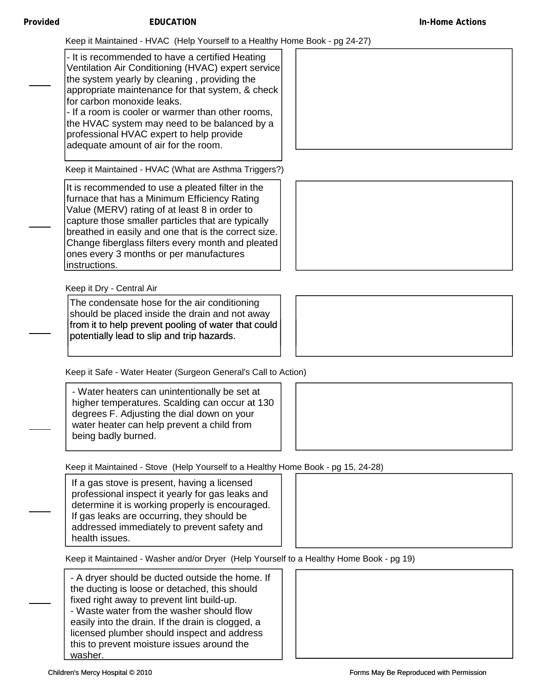Keep it Maintained - HVAC (Help Yourself to a Healthy Home Book - pg 24-27)

- It is recommended to have a certified Heating Ventilation Air Conditioning (HVAC) expert service the system yearly by cleaning , providing the appropriate maintenance for that system, & check for carbon monoxide leaks.

- If a room is cooler or warmer than other rooms, the HVAC system may need to be balanced by a professional HVAC expert to help provide adequate amount of air for the room.

Keep it Maintained - HVAC (What are Asthma Triggers?)

It is recommended to use a pleated filter in the furnace that has a Minimum Efficiency Rating Value (MERV) rating of at least 8 in order to capture those smaller particles that are typically breathed in easily and one that is the correct size. Change fiberglass filters every month and pleated ones every 3 months or per manufactures instructions.

Keep it Dry - Central Air

The condensate hose for the air conditioning should be placed inside the drain and not away from it to help prevent pooling of water that could potentially lead to slip and trip hazards.

Keep it Safe - Water Heater (Surgeon General's Call to Action)

- Water heaters can unintentionally be set at higher temperatures. Scalding can occur at 130 degrees F. Adjusting the dial down on your water heater can help prevent a child from being badly burned.

Keep it Maintained - Stove (Help Yourself to a Healthy Home Book - pg 15, 24-28)

If a gas stove is present, having a licensed professional inspect it yearly for gas leaks and determine it is working properly is encouraged. If gas leaks are occurring, they should be addressed immediately to prevent safety and health issues.

Keep it Maintained - Washer and/or Dryer (Help Yourself to a Healthy Home Book - pg 19)

- A dryer should be ducted outside the home. If the ducting is loose or detached, this should fixed right away to prevent lint build-up. - Waste water from the washer should flow easily into the drain. If the drain is clogged, a licensed plumber should inspect and address this to prevent moisture issues around the washer.







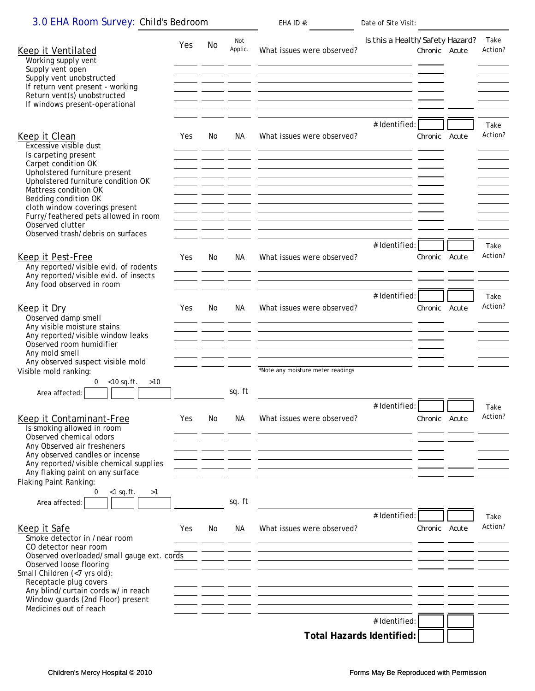| 3.0 EHA Room Survey: Child's Bedroom |  |
|--------------------------------------|--|
|--------------------------------------|--|

| 3.0 EHA Room Survey: Child's Bedroom                                                                                                                                                                                                                                                                          |     |     |                | EHA ID $#$ :                                                                                                                                       | Date of Site Visit:             |               |       |                 |
|---------------------------------------------------------------------------------------------------------------------------------------------------------------------------------------------------------------------------------------------------------------------------------------------------------------|-----|-----|----------------|----------------------------------------------------------------------------------------------------------------------------------------------------|---------------------------------|---------------|-------|-----------------|
| Keep it Ventilated<br>Working supply vent<br>Supply vent open<br>Supply vent unobstructed<br>If return vent present - working<br>Return vent(s) unobstructed<br>If windows present-operational                                                                                                                | Yes | No  | Not<br>Applic. | What issues were observed?                                                                                                                         | Is this a Health/Safety Hazard? | Chronic Acute |       | Take<br>Action? |
| Keep it Clean<br>Excessive visible dust<br>Is carpeting present<br>Carpet condition OK<br>Upholstered furniture present<br>Upholstered furniture condition OK<br>Mattress condition OK<br>Bedding condition OK<br>cloth window coverings present                                                              | Yes | No. | NA.            | What issues were observed?                                                                                                                         | # Identified:                   | Chronic       | Acute | Take<br>Action? |
| Furry/feathered pets allowed in room<br>Observed clutter<br>Observed trash/debris on surfaces                                                                                                                                                                                                                 |     |     |                |                                                                                                                                                    |                                 |               |       |                 |
| Keep it Pest-Free<br>Any reported/visible evid. of rodents<br>Any reported/visible evid. of insects<br>Any food observed in room                                                                                                                                                                              | Yes | No  | NА             | What issues were observed?                                                                                                                         | # Identified:                   | Chronic Acute |       | Take<br>Action? |
| Keep it Dry<br>Observed damp smell<br>Any visible moisture stains<br>Any reported/visible window leaks                                                                                                                                                                                                        | Yes | No  | NА             | What issues were observed?                                                                                                                         | # Identified:                   | Chronic Acute |       | Take<br>Action? |
| Observed room humidifier<br>Any mold smell<br>Any observed suspect visible mold<br>Visible mold ranking:<br>$0 \t < 10$ sq.ft.<br>$>10$                                                                                                                                                                       |     |     |                | *Note any moisture meter readings                                                                                                                  |                                 |               |       |                 |
| Area affected:<br>Keep it Contaminant-Free<br>Is smoking allowed in room<br>Observed chemical odors                                                                                                                                                                                                           | Yes | No. | sq. ft<br>NА   | What issues were observed?                                                                                                                         | # Identified:                   | Chronic Acute |       | Take<br>Action? |
| Any Observed air fresheners<br>Any observed candles or incense<br>Any reported/visible chemical supplies<br>Any flaking paint on any surface<br>Flaking Paint Ranking:                                                                                                                                        |     |     |                |                                                                                                                                                    |                                 |               |       |                 |
| 0<br>$<$ 1 sq.ft.<br>>1<br>Area affected:                                                                                                                                                                                                                                                                     |     |     | sq. ft         |                                                                                                                                                    | # Identified:                   |               |       | Take            |
| Keep it Safe<br>Smoke detector in /near room<br>CO detector near room<br>Observed overloaded/small gauge ext. cords<br>Observed loose flooring<br>Small Children (<7 yrs old):<br>Receptacle plug covers<br>Any blind/curtain cords w/in reach<br>Window guards (2nd Floor) present<br>Medicines out of reach | Yes | No. | NA.            | What issues were observed?<br><u> 1989 - Johann Barn, amerikan besteman besteman besteman besteman besteman besteman besteman besteman bestema</u> |                                 | Chronic Acute |       | Action?         |
|                                                                                                                                                                                                                                                                                                               |     |     |                | <b>Total Hazards Identified:</b>                                                                                                                   | # Identified:                   |               |       |                 |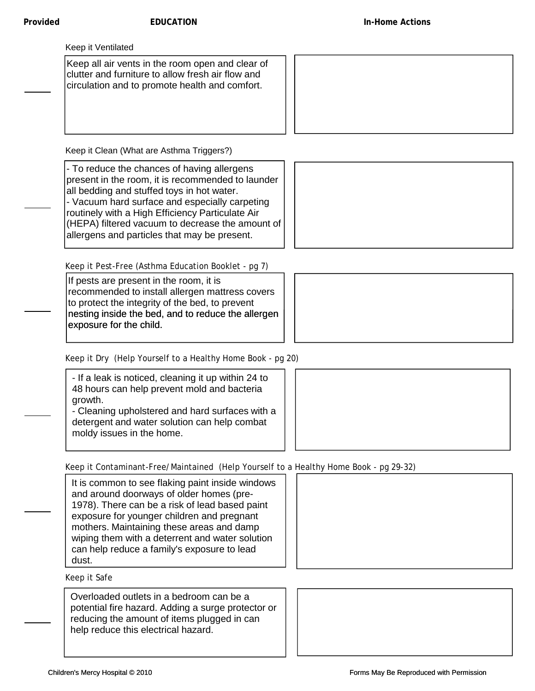Keep all air vents in the room open and clear of clutter and furniture to allow fresh air flow and circulation and to promote health and comfort.

Keep it Clean (What are Asthma Triggers?)

- To reduce the chances of having allergens present in the room, it is recommended to launder all bedding and stuffed toys in hot water. - Vacuum hard surface and especially carpeting routinely with a High Efficiency Particulate Air (HEPA) filtered vacuum to decrease the amount of allergens and particles that may be present.

Keep it Pest-Free (Asthma Education Booklet - pg 7)

If pests are present in the room, it is recommended to install allergen mattress covers to protect the integrity of the bed, to prevent nesting inside the bed, and to reduce the allergen exposure for the child.

Keep it Dry (Help Yourself to a Healthy Home Book - pg 20)

- If a leak is noticed, cleaning it up within 24 to 48 hours can help prevent mold and bacteria growth. - Cleaning upholstered and hard surfaces with a

detergent and water solution can help combat moldy issues in the home.

Keep it Contaminant-Free/Maintained (Help Yourself to a Healthy Home Book - pg 29-32)

It is common to see flaking paint inside windows and around doorways of older homes (pre-1978). There can be a risk of lead based paint exposure for younger children and pregnant mothers. Maintaining these areas and damp wiping them with a deterrent and water solution can help reduce a family's exposure to lead dust.

Keep it Safe

Overloaded outlets in a bedroom can be a potential fire hazard. Adding a surge protector or reducing the amount of items plugged in can help reduce this electrical hazard.







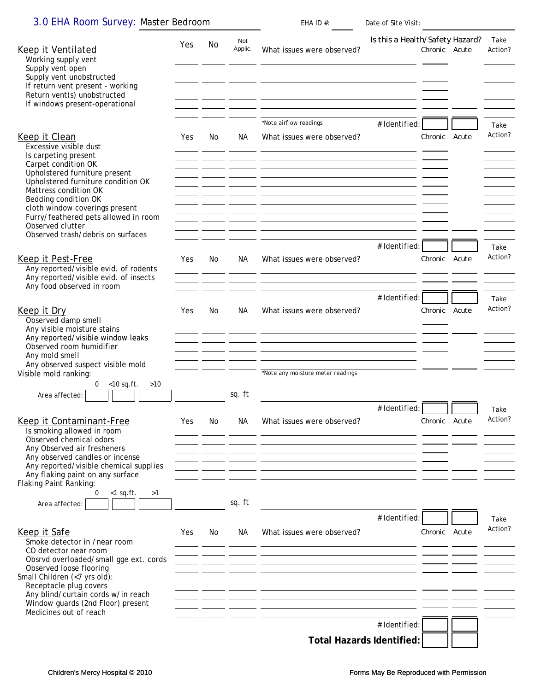| 3.0 EHA Room Survey: Master Bedroom | EHA ID $#$ : | Date of Site Visit: |
|-------------------------------------|--------------|---------------------|
|-------------------------------------|--------------|---------------------|

| Keep it Ventilated<br>Working supply vent<br>Supply vent open<br>Supply vent unobstructed<br>If return vent present - working                                                                                                                                                                             | Yes  | No  | Not<br>Applic.                                                       | What issues were observed?<br><b>Service</b><br><u> 1999 - Johann Stoff, skriuwer is der staatskilder op de staatskilder op de staatskilder op de staatskilder o</u>                                                | Is this a Health/Safety Hazard? | Chronic Acute | Take<br>Action? |
|-----------------------------------------------------------------------------------------------------------------------------------------------------------------------------------------------------------------------------------------------------------------------------------------------------------|------|-----|----------------------------------------------------------------------|---------------------------------------------------------------------------------------------------------------------------------------------------------------------------------------------------------------------|---------------------------------|---------------|-----------------|
| Return vent(s) unobstructed<br>If windows present-operational                                                                                                                                                                                                                                             |      |     |                                                                      | *Note airflow readings                                                                                                                                                                                              |                                 |               |                 |
| Keep it Clean<br>Excessive visible dust<br>Is carpeting present<br>Carpet condition OK<br>Upholstered furniture present<br>Upholstered furniture condition OK<br>Mattress condition OK<br>Bedding condition OK                                                                                            | Yes  | No  | NА                                                                   | What issues were observed?<br><u> 1980 - Andrea Barbara, amerikana amerikana amerikana amerikana amerikana amerikana amerikana amerikana amerik</u><br><b>Contract Contract</b><br>$ -$                             | # Identified:                   | Chronic Acute | Take<br>Action? |
| cloth window coverings present<br>Furry/feathered pets allowed in room<br>Observed clutter<br>Observed trash/debris on surfaces<br>Keep it Pest-Free                                                                                                                                                      | Yes  | No. | NА                                                                   | What issues were observed?                                                                                                                                                                                          | # Identified:                   | Chronic Acute | Take<br>Action? |
| Any reported/visible evid. of rodents<br>Any reported/visible evid. of insects<br>Any food observed in room                                                                                                                                                                                               |      |     |                                                                      | <u> 1980 - Andrea Stadt Britain, amerikansk fotograf i stof i stof i stof i stof i stof i stof i stof i stof i s</u>                                                                                                | # Identified:                   |               | Take            |
| Keep it Dry<br>Observed damp smell<br>Any visible moisture stains<br>Any reported/visible window leaks<br>Observed room humidifier<br>Any mold smell<br>Any observed suspect visible mold<br>Visible mold ranking:                                                                                        | Yes. | No. | NА<br>the company of the company of<br>the company of the company of | What issues were observed?<br><u> 1980 - Andrea Stadt Britain, amerikan bestean ing disebut bestean di sebagai personal di sebagai personal di</u><br><b>Contract Contract</b><br>*Note any moisture meter readings |                                 | Chronic Acute | Action?         |
| $0 \t < 10$ sq.ft.<br>>10<br>Area affected:                                                                                                                                                                                                                                                               |      |     | sq. ft                                                               |                                                                                                                                                                                                                     | # Identified:                   |               | Take            |
| <b>Keep it Contaminant-Free</b><br>Is smoking allowed in room<br>Observed chemical odors<br>Any Observed air fresheners<br>Any observed candles or incense<br>Any reported/visible chemical supplies<br>Any flaking paint on any surface                                                                  | Yes. | No. | NA                                                                   | What issues were observed?                                                                                                                                                                                          |                                 | Chronic Acute | Action?         |
| Flaking Paint Ranking:<br>0<br>$<$ 1 sq.ft.<br>>1<br>Area affected:                                                                                                                                                                                                                                       |      |     | sq. ft                                                               |                                                                                                                                                                                                                     |                                 |               |                 |
| Keep it Safe<br>Smoke detector in /near room<br>CO detector near room<br>Obsrvd overloaded/small gge ext. cords<br>Observed loose flooring<br>Small Children (<7 yrs old):<br>Receptacle plug covers<br>Any blind/curtain cords w/in reach<br>Window guards (2nd Floor) present<br>Medicines out of reach | Yes  | No. | NA.                                                                  | What issues were observed?<br><u> 1980 - Johann Stoff, deutscher Stoff, der Stoff, der Stoff, der Stoff, der Stoff, der Stoff, der Stoff, der S</u>                                                                 | # Identified                    | Chronic Acute | Take<br>Action? |
|                                                                                                                                                                                                                                                                                                           |      |     |                                                                      |                                                                                                                                                                                                                     | # Identified:                   |               |                 |
|                                                                                                                                                                                                                                                                                                           |      |     |                                                                      | <b>Total Hazards Identified:</b>                                                                                                                                                                                    |                                 |               |                 |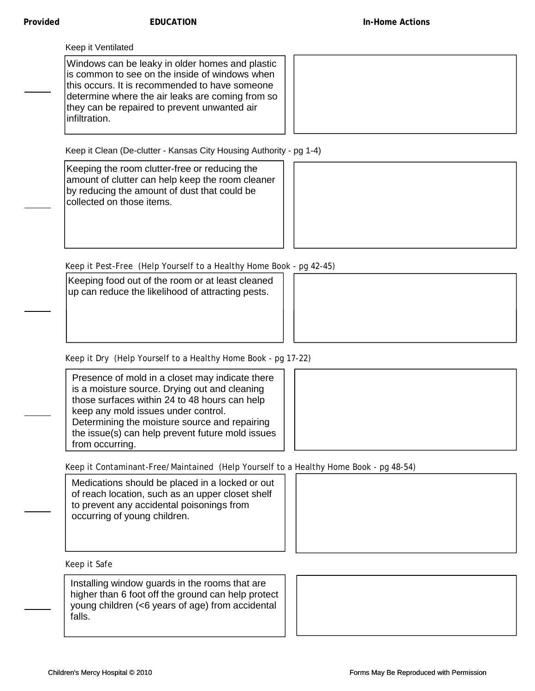Windows can be leaky in older homes and plastic is common to see on the inside of windows when this occurs. It is recommended to have someone determine where the air leaks are coming from so they can be repaired to prevent unwanted air infiltration.

Keep it Clean (De-clutter - Kansas City Housing Authority - pg 1-4)

Keeping the room clutter-free or reducing the amount of clutter can help keep the room cleaner by reducing the amount of dust that could be collected on those items.



Keep it Pest-Free (Help Yourself to a Healthy Home Book - pg 42-45)

Keeping food out of the room or at least cleaned up can reduce the likelihood of attracting pests.



Keep it Dry (Help Yourself to a Healthy Home Book - pg 17-22)

Presence of mold in a closet may indicate there is a moisture source. Drying out and cleaning those surfaces within 24 to 48 hours can help keep any mold issues under control. Determining the moisture source and repairing the issue(s) can help prevent future mold issues from occurring.



Keep it Contaminant-Free/Maintained (Help Yourself to a Healthy Home Book - pg 48-54)

Medications should be placed in a locked or out of reach location, such as an upper closet shelf to prevent any accidental poisonings from occurring of young children.



Keep it Safe

Installing window guards in the rooms that are higher than 6 foot off the ground can help protect young children (<6 years of age) from accidental falls.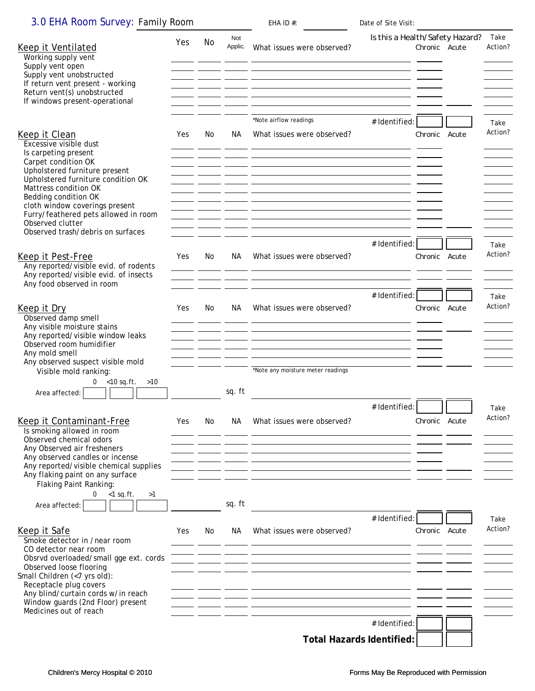| 3.0 EHA Room Survey: Family Room                                                                                                                                                                                                                                                                             |     |     |                                                                                                                                                                                                                                             | EHA ID $#$ :                                                                                                                                           | Date of Site Visit:              |               |                 |
|--------------------------------------------------------------------------------------------------------------------------------------------------------------------------------------------------------------------------------------------------------------------------------------------------------------|-----|-----|---------------------------------------------------------------------------------------------------------------------------------------------------------------------------------------------------------------------------------------------|--------------------------------------------------------------------------------------------------------------------------------------------------------|----------------------------------|---------------|-----------------|
| Keep it Ventilated<br>Working supply vent<br>Supply vent open<br>Supply vent unobstructed<br>If return vent present - working                                                                                                                                                                                | Yes | No. | Not<br>Applic.                                                                                                                                                                                                                              | What issues were observed?                                                                                                                             | Is this a Health/Safety Hazard?  | Chronic Acute | Take<br>Action? |
| Return vent(s) unobstructed<br>If windows present-operational                                                                                                                                                                                                                                                |     |     |                                                                                                                                                                                                                                             | <u> 1980 - Antonio Alemania, politikar politikar (h. 1980).</u><br>1900 - Antonio Alemania, francuski politik (h. 1900).<br>*Note airflow readings     | # Identified:                    |               | Take            |
| Keep it Clean<br>Excessive visible dust<br>Is carpeting present<br>Carpet condition OK<br>Upholstered furniture present<br>Upholstered furniture condition OK<br>Mattress condition OK<br>Bedding condition OK<br>cloth window coverings present<br>Furry/feathered pets allowed in room<br>Observed clutter | Yes | No. | NA.                                                                                                                                                                                                                                         | What issues were observed?<br><u> 1988 - Johann Barnett, fransk politiker (d. 1988)</u><br><u> 1988 - Andrea Britain, amerikan personal (h. 1988).</u> |                                  | Chronic Acute | Action?         |
| Observed trash/debris on surfaces                                                                                                                                                                                                                                                                            |     |     |                                                                                                                                                                                                                                             |                                                                                                                                                        | # Identified:                    |               |                 |
| Keep it Pest-Free<br>Any reported/visible evid. of rodents<br>Any reported/visible evid. of insects<br>Any food observed in room                                                                                                                                                                             | Yes | No  | NA.                                                                                                                                                                                                                                         | What issues were observed?                                                                                                                             |                                  | Chronic Acute | Take<br>Action? |
|                                                                                                                                                                                                                                                                                                              |     |     |                                                                                                                                                                                                                                             |                                                                                                                                                        | # Identified:                    |               | Take            |
| Keep it Dry<br>Observed damp smell<br>Any visible moisture stains<br>Any reported/visible window leaks<br>Observed room humidifier<br>Any mold smell<br>Any observed suspect visible mold                                                                                                                    | Yes | No  | NA.<br><u>and the company of the company of the company of the company of the company of the company of the company of the company of the company of the company of the company of the company of the company of the company of the com</u> | What issues were observed?                                                                                                                             |                                  | Chronic Acute | Action?         |
| Visible mold ranking:<br>0 $<$ 10 sq.ft. $>$ 10<br>Area affected:                                                                                                                                                                                                                                            |     |     | sq. ft                                                                                                                                                                                                                                      | *Note any moisture meter readings                                                                                                                      |                                  |               |                 |
|                                                                                                                                                                                                                                                                                                              |     |     |                                                                                                                                                                                                                                             |                                                                                                                                                        | # Identified:                    |               | Take            |
| Keep it Contaminant-Free<br>Is smoking allowed in room<br>Observed chemical odors<br>Any Observed air fresheners                                                                                                                                                                                             | Yes | No. | NA.                                                                                                                                                                                                                                         | What issues were observed?                                                                                                                             |                                  | Chronic Acute | Action?         |
| Any observed candles or incense<br>Any reported/visible chemical supplies                                                                                                                                                                                                                                    |     |     |                                                                                                                                                                                                                                             |                                                                                                                                                        |                                  |               |                 |
| Any flaking paint on any surface<br>Flaking Paint Ranking:<br>0<br>$<$ 1 sq.ft.<br>>1<br>Area affected:                                                                                                                                                                                                      |     |     | sq. ft                                                                                                                                                                                                                                      |                                                                                                                                                        |                                  |               |                 |
| Keep it Safe<br>Smoke detector in /near room<br>CO detector near room                                                                                                                                                                                                                                        | Yes | No. | NA.                                                                                                                                                                                                                                         | What issues were observed?                                                                                                                             | # Identified:                    | Chronic Acute | Take<br>Action? |
| Obsrvd overloaded/small gge ext. cords<br>Observed loose flooring<br>Small Children (<7 yrs old):<br>Receptacle plug covers<br>Any blind/curtain cords w/in reach<br>Window guards (2nd Floor) present<br>Medicines out of reach                                                                             |     |     |                                                                                                                                                                                                                                             | <u> 1999 - Johann John Stone, market fra de format en de format en de format en del seu de format en de</u>                                            |                                  |               |                 |
|                                                                                                                                                                                                                                                                                                              |     |     |                                                                                                                                                                                                                                             |                                                                                                                                                        | # Identified:                    |               |                 |
|                                                                                                                                                                                                                                                                                                              |     |     |                                                                                                                                                                                                                                             |                                                                                                                                                        | <b>Total Hazards Identified:</b> |               |                 |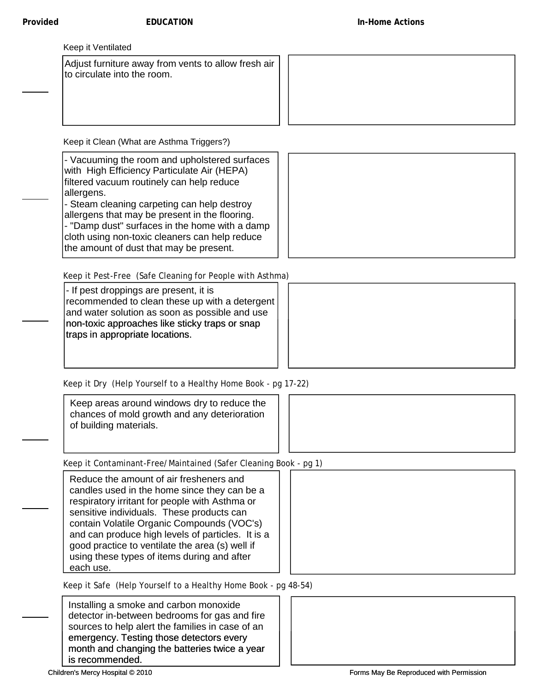Adjust furniture away from vents to allow fresh air to circulate into the room.

Keep it Clean (What are Asthma Triggers?)

- Vacuuming the room and upholstered surfaces with High Efficiency Particulate Air (HEPA) filtered vacuum routinely can help reduce allergens.

- Steam cleaning carpeting can help destroy allergens that may be present in the flooring. - "Damp dust" surfaces in the home with a damp cloth using non-toxic cleaners can help reduce

the amount of dust that may be present.

Keep it Pest-Free (Safe Cleaning for People with Asthma)

- If pest droppings are present, it is recommended to clean these up with a detergent and water solution as soon as possible and use non-toxic approaches like sticky traps or snap traps in appropriate locations.

Keep it Dry (Help Yourself to a Healthy Home Book - pg 17-22)

Keep areas around windows dry to reduce the chances of mold growth and any deterioration of building materials.

Keep it Contaminant-Free/Maintained (Safer Cleaning Book - pg 1)

Reduce the amount of air fresheners and candles used in the home since they can be a respiratory irritant for people with Asthma or sensitive individuals. These products can contain Volatile Organic Compounds (VOC's) and can produce high levels of particles. It is a good practice to ventilate the area (s) well if using these types of items during and after each use.

Keep it Safe (Help Yourself to a Healthy Home Book - pg 48-54)

Installing a smoke and carbon monoxide detector in-between bedrooms for gas and fire sources to help alert the families in case of an emergency. Testing those detectors every month and changing the batteries twice a year is recommended.



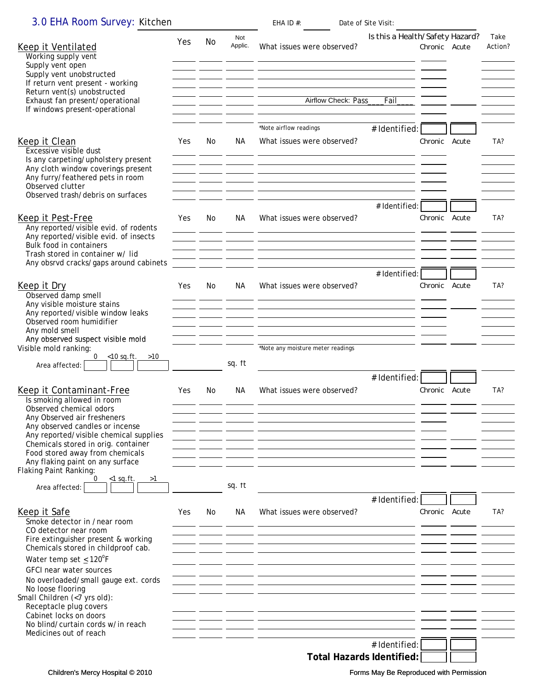| 3.0 EHA Room Survey: Kitchen                                               |     |     |                      | EHA ID $#$ :<br>Date of Site Visit:                                                                                   |                                                  |                 |
|----------------------------------------------------------------------------|-----|-----|----------------------|-----------------------------------------------------------------------------------------------------------------------|--------------------------------------------------|-----------------|
| Keep it Ventilated<br>Working supply vent                                  | Yes | No  | Not<br>Applic.       | What issues were observed?                                                                                            | Is this a Health/Safety Hazard?<br>Chronic Acute | Take<br>Action? |
| Supply vent open<br>Supply vent unobstructed                               |     |     |                      | <u> 1989 - Johann Stoff, deutscher Stoff, der Stoff, der Stoff, der Stoff, der Stoff, der Stoff, der Stoff, der S</u> |                                                  |                 |
| If return vent present - working<br>Return vent(s) unobstructed            |     |     |                      |                                                                                                                       |                                                  |                 |
| Exhaust fan present/operational<br>If windows present-operational          |     |     |                      | Airflow Check: Pass<br>Fail                                                                                           |                                                  |                 |
|                                                                            |     |     |                      | *Note airflow readings<br># Identified:                                                                               |                                                  |                 |
| Keep it Clean                                                              | Yes | No. | NА                   | What issues were observed?                                                                                            | Chronic Acute                                    | TA?             |
| Excessive visible dust<br>Is any carpeting/upholstery present              |     |     |                      | <u> 1980 - Andrea Barbara, amerikana amerikana amerikana amerikana amerikana amerikana amerikana amerikana amerik</u> |                                                  |                 |
| Any cloth window coverings present<br>Any furry/feathered pets in room     |     |     | <u>and the state</u> |                                                                                                                       |                                                  |                 |
| Observed clutter<br>Observed trash/debris on surfaces                      |     |     |                      |                                                                                                                       |                                                  |                 |
|                                                                            |     |     |                      | # Identified:                                                                                                         |                                                  |                 |
| Keep it Pest-Free<br>Any reported/visible evid. of rodents                 | Yes | No. | NA.<br>- -           | What issues were observed?                                                                                            | Chronic Acute                                    | TA?             |
| Any reported/visible evid. of insects<br>Bulk food in containers           |     |     |                      | <u> 1980 - Jan James James, maria eta bainar eta bat zen bat zen bat zen bat zen bat zen bat zen bat zen bat zen</u>  |                                                  |                 |
| Trash stored in container w/ lid<br>Any obsrvd cracks/gaps around cabinets |     |     |                      |                                                                                                                       |                                                  |                 |
|                                                                            |     |     |                      | # Identified:                                                                                                         |                                                  |                 |
| Keep it Dry<br>Observed damp smell                                         | Yes | No  | NA.                  | What issues were observed?                                                                                            | Chronic Acute                                    | TA?             |
| Any visible moisture stains<br>Any reported/visible window leaks           |     |     |                      |                                                                                                                       |                                                  |                 |
| Observed room humidifier<br>Any mold smell                                 |     |     |                      |                                                                                                                       |                                                  |                 |
| Any observed suspect visible mold<br>Visible mold ranking:                 |     |     |                      | *Note any moisture meter readings                                                                                     |                                                  |                 |
| $\overline{0}$<br>$-$ <10 sq.ft. >10<br>Area affected:                     |     |     | sq. ft               |                                                                                                                       |                                                  |                 |
|                                                                            |     |     |                      | # Identified:                                                                                                         |                                                  |                 |
| Keep it Contaminant-Free<br>Is smoking allowed in room                     | Yes | No. | NА                   | What issues were observed?                                                                                            | Chronic Acute                                    | TA?             |
| Observed chemical odors<br>Any Observed air fresheners                     |     |     |                      |                                                                                                                       |                                                  |                 |
| Any observed candles or incense<br>Any reported/visible chemical supplies  |     |     |                      |                                                                                                                       |                                                  |                 |
| Chemicals stored in orig. container<br>Food stored away from chemicals     |     |     |                      |                                                                                                                       |                                                  |                 |
| Any flaking paint on any surface<br><b>Flaking Paint Ranking:</b>          |     |     |                      |                                                                                                                       |                                                  |                 |
| 0<br>$<$ 1 sq.ft.<br>>1<br>Area affected:                                  |     |     | sq. ft               |                                                                                                                       |                                                  |                 |
|                                                                            |     |     |                      | # Identified:                                                                                                         |                                                  |                 |
| Keep it Safe<br>Smoke detector in /near room                               | Yes | No. | NА                   | What issues were observed?                                                                                            | Chronic Acute                                    | TA?             |
| CO detector near room<br>Fire extinguisher present & working               |     |     |                      |                                                                                                                       |                                                  |                 |
| Chemicals stored in childproof cab.<br>Water temp set < $120^{\circ}$ F    |     |     |                      |                                                                                                                       |                                                  |                 |
| GFCI near water sources                                                    |     |     |                      |                                                                                                                       |                                                  |                 |
| No overloaded/small gauge ext. cords<br>No loose flooring                  |     |     |                      |                                                                                                                       |                                                  |                 |
| Small Children (<7 yrs old):<br>Receptacle plug covers                     |     |     |                      |                                                                                                                       |                                                  |                 |
| Cabinet locks on doors<br>No blind/curtain cords w/in reach                |     |     |                      |                                                                                                                       |                                                  |                 |
| Medicines out of reach                                                     |     |     |                      |                                                                                                                       |                                                  |                 |
|                                                                            |     |     |                      | # Identified:<br><b>Total Hazards Identified:</b>                                                                     |                                                  |                 |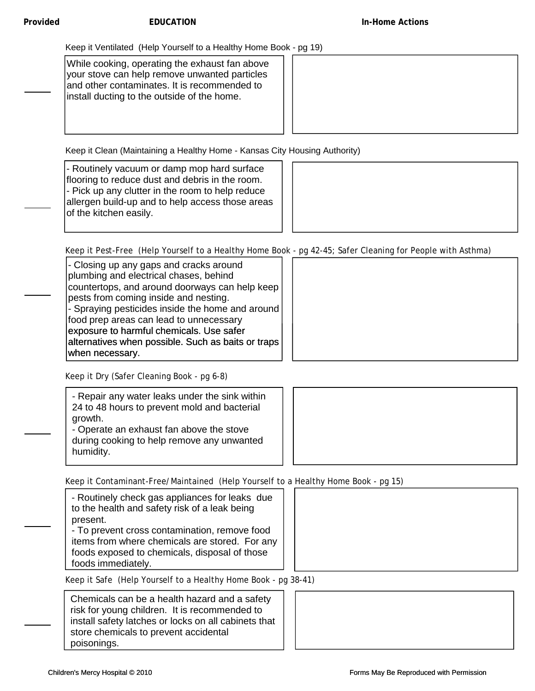Keep it Ventilated (Help Yourself to a Healthy Home Book - pg 19)

While cooking, operating the exhaust fan above your stove can help remove unwanted particles and other contaminates. It is recommended to install ducting to the outside of the home.

Keep it Clean (Maintaining a Healthy Home - Kansas City Housing Authority)

- Routinely vacuum or damp mop hard surface flooring to reduce dust and debris in the room. - Pick up any clutter in the room to help reduce allergen build-up and to help access those areas of the kitchen easily.



Keep it Pest-Free (Help Yourself to a Healthy Home Book - pg 42-45; Safer Cleaning for People with Asthma)

- Closing up any gaps and cracks around plumbing and electrical chases, behind countertops, and around doorways can help keep pests from coming inside and nesting. - Spraying pesticides inside the home and around food prep areas can lead to unnecessary exposure to harmful chemicals. Use safer harmful alternatives when possible. Such as baits or traps when necessary.

Keep it Dry (Safer Cleaning Book - pg 6-8)

| - Repair any water leaks under the sink within |  |
|------------------------------------------------|--|
| 24 to 48 hours to prevent mold and bacterial   |  |
| arowth.                                        |  |
| Operate an exhaust fan aboug the stave         |  |

- Operate an exhaust fan above the stove during cooking to help remove any unwanted humidity.



Keep it Contaminant-Free/Maintained (Help Yourself to a Healthy Home Book - pg 15)

| - Routinely check gas appliances for leaks due<br>to the health and safety risk of a leak being<br>present.<br>- To prevent cross contamination, remove food<br>items from where chemicals are stored. For any<br>foods exposed to chemicals, disposal of those<br>foods immediately. |  |
|---------------------------------------------------------------------------------------------------------------------------------------------------------------------------------------------------------------------------------------------------------------------------------------|--|
| Keep it Safe (Help Yourself to a Healthy Home Book - pg 38-41)                                                                                                                                                                                                                        |  |

Chemicals can be a health hazard and a safety risk for young children. It is recommended to install safety latches or locks on all cabinets that store chemicals to prevent accidental poisonings.

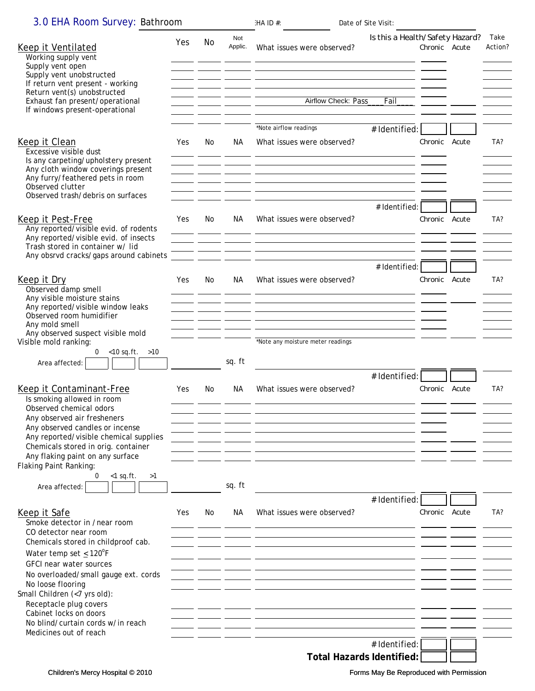| 3.0 EHA Room Survey: Bathroom                                              |     |     |                             | Date of Site Visit:<br>H A ID #:                                                                                                                                                   |                                 |               |                 |  |
|----------------------------------------------------------------------------|-----|-----|-----------------------------|------------------------------------------------------------------------------------------------------------------------------------------------------------------------------------|---------------------------------|---------------|-----------------|--|
| Keep it Ventilated<br>Working supply vent<br>Supply vent open              | Yes | No  | Not<br>Applic.              | What issues were observed?<br><u>na jedno po svoje se od objavlja u objavlja u objavlja u objavlja u objavlja u objavlja u objavlja u objavlja</u>                                 | Is this a Health/Safety Hazard? | Chronic Acute | Take<br>Action? |  |
| Supply vent unobstructed                                                   |     |     |                             | <u> 1980 - Andrea Stadt Britain, amerikan bestean ing disebut bestean ing disebut bestean ing disebut bestean ing</u>                                                              |                                 |               |                 |  |
| If return vent present - working<br>Return vent(s) unobstructed            |     |     |                             |                                                                                                                                                                                    |                                 |               |                 |  |
| Exhaust fan present/operational                                            |     |     | _ _________ __________ ____ | Airflow Check: Pass_<br>Fail                                                                                                                                                       |                                 |               |                 |  |
| If windows present-operational                                             |     |     |                             |                                                                                                                                                                                    |                                 |               |                 |  |
|                                                                            |     |     |                             | *Note airflow readings<br># Identified:                                                                                                                                            |                                 |               |                 |  |
| Keep it Clean                                                              | Yes | No  | NA.                         | What issues were observed?                                                                                                                                                         |                                 | Chronic Acute | TA?             |  |
| Excessive visible dust                                                     |     |     |                             |                                                                                                                                                                                    |                                 |               |                 |  |
| Is any carpeting/upholstery present                                        |     |     | the company of              |                                                                                                                                                                                    |                                 |               |                 |  |
| Any cloth window coverings present<br>Any furry/feathered pets in room     |     |     |                             | <u> 1950 - Jan James James Sandar (j. 1918)</u><br><u> 1980 - Johann Stein, marwolaethau a bhann an t-</u>                                                                         |                                 |               |                 |  |
| Observed clutter                                                           |     |     |                             |                                                                                                                                                                                    |                                 |               |                 |  |
| Observed trash/debris on surfaces                                          |     |     |                             |                                                                                                                                                                                    |                                 |               |                 |  |
| Keep it Pest-Free                                                          | Yes | No  | NA.                         | What issues were observed?                                                                                                                                                         | # Identified:                   | Chronic Acute | TA?             |  |
| Any reported/visible evid. of rodents                                      |     |     |                             | <u> 2000 - Jan Jan James, mars and de la provincia de la provincia de la provincia de la provincia de la provinci</u>                                                              |                                 |               |                 |  |
| Any reported/visible evid. of insects                                      |     |     |                             | <u> 1990 - Jan James, maria al II-lea de Alemania (h. 1914).</u>                                                                                                                   |                                 |               |                 |  |
| Trash stored in container w/ lid<br>Any obsrvd cracks/gaps around cabinets |     |     |                             | <u> 1981 - Andrea Gallery, american american american american american american american american american ameri</u><br><u> 1980 - John Stein, Amerikaansk politiker († 1908)</u> |                                 |               |                 |  |
|                                                                            |     |     |                             |                                                                                                                                                                                    | # Identified:                   |               |                 |  |
| Keep it Dry                                                                | Yes | No  | NA.                         | What issues were observed?                                                                                                                                                         |                                 | Chronic Acute | TA?             |  |
| Observed damp smell                                                        |     |     |                             |                                                                                                                                                                                    |                                 |               |                 |  |
| Any visible moisture stains<br>Any reported/visible window leaks           |     |     |                             |                                                                                                                                                                                    |                                 |               |                 |  |
| Observed room humidifier                                                   |     |     |                             |                                                                                                                                                                                    |                                 |               |                 |  |
| Any mold smell<br>Any observed suspect visible mold                        |     |     |                             |                                                                                                                                                                                    |                                 |               |                 |  |
| Visible mold ranking:                                                      |     |     |                             | *Note any moisture meter readings                                                                                                                                                  |                                 |               |                 |  |
| 0<br>$<$ 10 sq.ft. $>$ 10                                                  |     |     | sq. ft                      |                                                                                                                                                                                    |                                 |               |                 |  |
| Area affected:                                                             |     |     |                             |                                                                                                                                                                                    |                                 |               |                 |  |
|                                                                            |     |     |                             | # Identified:                                                                                                                                                                      |                                 | Chronic Acute | TA?             |  |
| Keep it Contaminant-Free<br>Is smoking allowed in room                     | Yes | No. | NA.                         | What issues were observed?                                                                                                                                                         |                                 |               |                 |  |
| Observed chemical odors                                                    |     |     |                             |                                                                                                                                                                                    |                                 |               |                 |  |
| Any observed air fresheners                                                |     |     |                             |                                                                                                                                                                                    |                                 |               |                 |  |
| Any observed candles or incense<br>Any reported/visible chemical supplies  |     |     |                             |                                                                                                                                                                                    |                                 |               |                 |  |
| Chemicals stored in orig. container                                        |     |     |                             |                                                                                                                                                                                    |                                 |               |                 |  |
| Any flaking paint on any surface                                           |     |     |                             |                                                                                                                                                                                    |                                 |               |                 |  |
| Flaking Paint Ranking:<br>0<br>$<$ 1 sq.ft.<br>>1                          |     |     |                             |                                                                                                                                                                                    |                                 |               |                 |  |
| Area affected:                                                             |     |     | sq. ft                      |                                                                                                                                                                                    |                                 |               |                 |  |
|                                                                            |     |     |                             | # Identified:                                                                                                                                                                      |                                 |               |                 |  |
| Keep it Safe                                                               | Yes | No  | NА                          | What issues were observed?                                                                                                                                                         |                                 | Chronic Acute | TA?             |  |
| Smoke detector in /near room                                               |     |     |                             |                                                                                                                                                                                    |                                 |               |                 |  |
| CO detector near room<br>Chemicals stored in childproof cab.               |     |     |                             | the control of the control of the control of the control of the control of the control of                                                                                          |                                 |               |                 |  |
| Water temp set $\leq 120^{\circ}$ F                                        |     |     |                             |                                                                                                                                                                                    |                                 |               |                 |  |
| GFCI near water sources                                                    |     |     |                             |                                                                                                                                                                                    |                                 |               |                 |  |
| No overloaded/small gauge ext. cords                                       |     |     |                             |                                                                                                                                                                                    |                                 |               |                 |  |
| No loose flooring<br>Small Children (<7 yrs old):                          |     |     |                             |                                                                                                                                                                                    |                                 |               |                 |  |
| Receptacle plug covers                                                     |     |     |                             |                                                                                                                                                                                    |                                 |               |                 |  |
| Cabinet locks on doors                                                     |     |     |                             |                                                                                                                                                                                    |                                 |               |                 |  |
| No blind/curtain cords w/in reach<br>Medicines out of reach                |     |     |                             |                                                                                                                                                                                    |                                 |               |                 |  |
|                                                                            |     |     |                             | # Identified:                                                                                                                                                                      |                                 |               |                 |  |
|                                                                            |     |     |                             | <b>Total Hazards Identified:</b>                                                                                                                                                   |                                 |               |                 |  |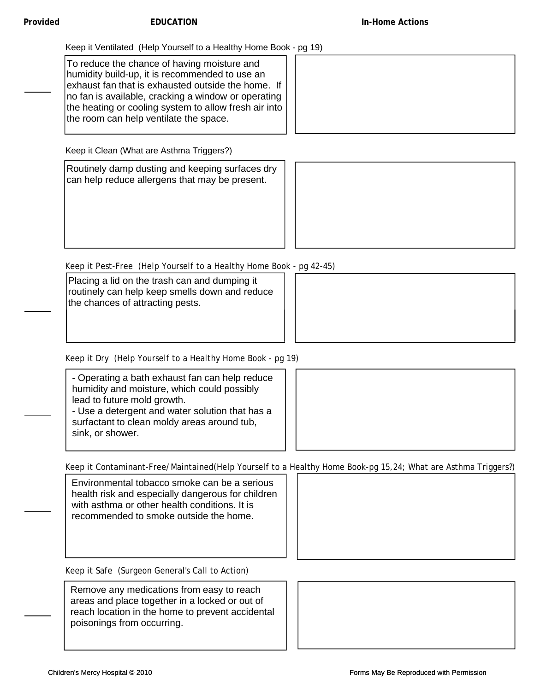Keep it Ventilated (Help Yourself to a Healthy Home Book - pg 19)

To reduce the chance of having moisture and humidity build-up, it is recommended to use an exhaust fan that is exhausted outside the home. If no fan is available, cracking a window or operating the heating or cooling system to allow fresh air into the room can help ventilate the space.

Keep it Clean (What are Asthma Triggers?)

Routinely damp dusting and keeping surfaces dry can help reduce allergens that may be present.



Keep it Pest-Free (Help Yourself to a Healthy Home Book - pg 42-45)

Placing a lid on the trash can and dumping it routinely can help keep smells down and reduce the chances of attracting pests.



Keep it Dry (Help Yourself to a Healthy Home Book - pg 19)

- Operating a bath exhaust fan can help reduce humidity and moisture, which could possibly lead to future mold growth. - Use a detergent and water solution that has a surfactant to clean moldy areas around tub, sink, or shower.



Keep it Contaminant-Free/Maintained(Help Yourself to a Healthy Home Book-pg 15,24; What are Asthma Triggers?)

Environmental tobacco smoke can be a serious health risk and especially dangerous for children with asthma or other health conditions. It is recommended to smoke outside the home.



Keep it Safe (Surgeon General's Call to Action)

Remove any medications from easy to reach areas and place together in a locked or out of reach location in the home to prevent accidental poisonings from occurring.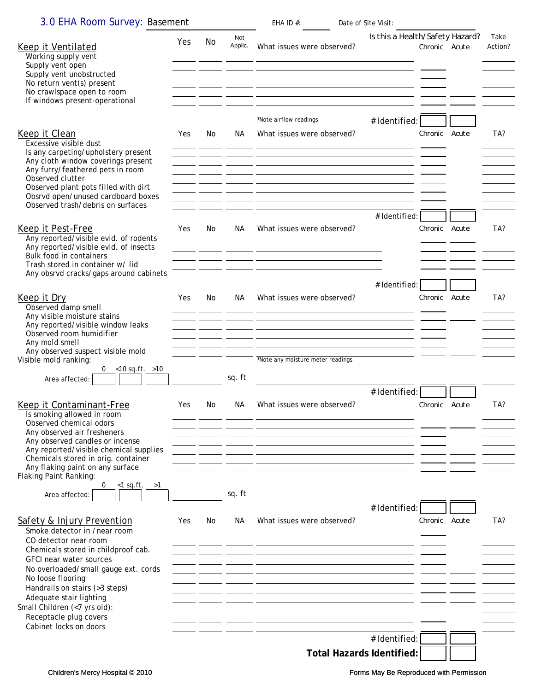| 3.0 EHA Room Survey: Basement                                                  |     |     |                                                                                                                                                                                                                                      | EHA ID $#$ :                                                                                                                                                                                                   | Date of Site Visit: |                                                  |                 |
|--------------------------------------------------------------------------------|-----|-----|--------------------------------------------------------------------------------------------------------------------------------------------------------------------------------------------------------------------------------------|----------------------------------------------------------------------------------------------------------------------------------------------------------------------------------------------------------------|---------------------|--------------------------------------------------|-----------------|
| Keep it Ventilated                                                             | Yes | No  | Not<br>Applic.                                                                                                                                                                                                                       | What issues were observed?                                                                                                                                                                                     |                     | Is this a Health/Safety Hazard?<br>Chronic Acute | Take<br>Action? |
| Working supply vent                                                            |     |     |                                                                                                                                                                                                                                      |                                                                                                                                                                                                                |                     |                                                  |                 |
| Supply vent open<br>Supply vent unobstructed                                   |     |     |                                                                                                                                                                                                                                      | <u> 1980 - Johann Stein, marwolaethau a bhann an t-</u>                                                                                                                                                        |                     |                                                  |                 |
| No return vent(s) present<br>No crawlspace open to room                        |     |     |                                                                                                                                                                                                                                      |                                                                                                                                                                                                                |                     |                                                  |                 |
| If windows present-operational                                                 |     |     |                                                                                                                                                                                                                                      | <u> 2000 - Jan James James Sandar (h. 1888).</u><br>1900 - John Stein, fransk politik (h. 1889).                                                                                                               |                     |                                                  |                 |
|                                                                                |     |     |                                                                                                                                                                                                                                      | *Note airflow readings                                                                                                                                                                                         |                     |                                                  |                 |
| Keep it Clean                                                                  | Yes | No. | NA.                                                                                                                                                                                                                                  | What issues were observed?                                                                                                                                                                                     | # Identified:       | Chronic Acute                                    | TA?             |
| Excessive visible dust                                                         |     |     |                                                                                                                                                                                                                                      |                                                                                                                                                                                                                |                     |                                                  |                 |
| Is any carpeting/upholstery present<br>Any cloth window coverings present      |     |     |                                                                                                                                                                                                                                      | <u> 2000 - Jan James James Sandar (h. 1918).</u>                                                                                                                                                               |                     |                                                  |                 |
| Any furry/feathered pets in room                                               |     |     |                                                                                                                                                                                                                                      |                                                                                                                                                                                                                |                     |                                                  |                 |
| Observed clutter<br>Observed plant pots filled with dirt                       |     |     | <u>and the company of the company of the company of the company of the company of the company of the company of the company of the company of the company of the company of the company of the company of the company of the com</u> | <u> 19 januari - Johann Johann Johann Johann Johann Johann Johann Johann Johann Johann Johann Johann Johann Johann Joh</u>                                                                                     |                     |                                                  |                 |
| Obsrvd open/unused cardboard boxes<br>Observed trash/debris on surfaces        |     |     |                                                                                                                                                                                                                                      | <u> 1950 - Jan Jan James, martin amerikan basar (j. 1918)</u>                                                                                                                                                  |                     |                                                  |                 |
|                                                                                |     |     |                                                                                                                                                                                                                                      |                                                                                                                                                                                                                | # Identified:       |                                                  |                 |
| Keep it Pest-Free                                                              | Yes | No. | NA.                                                                                                                                                                                                                                  | What issues were observed?                                                                                                                                                                                     |                     | Chronic Acute                                    | TA?             |
| Any reported/visible evid. of rodents<br>Any reported/visible evid. of insects |     |     |                                                                                                                                                                                                                                      |                                                                                                                                                                                                                |                     |                                                  |                 |
| Bulk food in containers                                                        |     |     |                                                                                                                                                                                                                                      | <u> 1980 - Antonio Alemania, presidente de la contrada de la contrada de la contrada de la contrada de la contrad</u>                                                                                          |                     |                                                  |                 |
| Trash stored in container w/ lid<br>Any obsrvd cracks/gaps around cabinets     |     |     |                                                                                                                                                                                                                                      |                                                                                                                                                                                                                |                     |                                                  |                 |
|                                                                                |     |     |                                                                                                                                                                                                                                      |                                                                                                                                                                                                                | # Identified:       |                                                  |                 |
| Keep it Dry                                                                    | Yes | No  | NА                                                                                                                                                                                                                                   | What issues were observed?                                                                                                                                                                                     |                     | Chronic Acute                                    | TA?             |
| Observed damp smell<br>Any visible moisture stains                             |     |     |                                                                                                                                                                                                                                      | <u> 1989 - Jan Jan James, politik eta idazleari eta idazlearia (h. 1918).</u>                                                                                                                                  |                     |                                                  |                 |
| Any reported/visible window leaks<br>Observed room humidifier                  |     |     |                                                                                                                                                                                                                                      |                                                                                                                                                                                                                |                     |                                                  |                 |
| Any mold smell                                                                 |     |     |                                                                                                                                                                                                                                      | <u> 1990 - Antonio Johann Alemania, martin amerikan alemaniar alemaniar (h. 1980).</u><br><u> 1950 - Jan James James, martin amerikan basar dan berasal dalam basa dalam basa dalam basa dalam basa dalam </u> |                     |                                                  |                 |
| Any observed suspect visible mold<br>Visible mold ranking:                     |     |     |                                                                                                                                                                                                                                      | *Note any moisture meter readings                                                                                                                                                                              |                     |                                                  |                 |
| 0 $<$ 10 sq.ft. $>$ 10<br>Area affected:                                       |     |     | sq. ft                                                                                                                                                                                                                               |                                                                                                                                                                                                                |                     |                                                  |                 |
|                                                                                |     |     |                                                                                                                                                                                                                                      |                                                                                                                                                                                                                | # Identified:       |                                                  |                 |
| <b>Keep it Contaminant-Free</b>                                                | Yes | No. | NA.                                                                                                                                                                                                                                  | What issues were observed?                                                                                                                                                                                     |                     | Chronic Acute                                    | TA?             |
| Is smoking allowed in room                                                     |     |     |                                                                                                                                                                                                                                      |                                                                                                                                                                                                                |                     |                                                  |                 |
| Observed chemical odors<br>Any observed air fresheners                         |     |     |                                                                                                                                                                                                                                      |                                                                                                                                                                                                                |                     |                                                  |                 |
| Any observed candles or incense<br>Any reported/visible chemical supplies      |     |     | $\sim$ $-$                                                                                                                                                                                                                           | <b>Contract Contract</b>                                                                                                                                                                                       |                     |                                                  |                 |
| Chemicals stored in orig. container                                            |     |     |                                                                                                                                                                                                                                      |                                                                                                                                                                                                                |                     |                                                  |                 |
| Any flaking paint on any surface<br>Flaking Paint Ranking:                     |     |     |                                                                                                                                                                                                                                      |                                                                                                                                                                                                                |                     |                                                  |                 |
| $<$ 1 sq.ft.<br>>1<br>0                                                        |     |     | sq. ft                                                                                                                                                                                                                               |                                                                                                                                                                                                                |                     |                                                  |                 |
| Area affected:                                                                 |     |     |                                                                                                                                                                                                                                      |                                                                                                                                                                                                                | # Identified:       |                                                  |                 |
| Safety & Injury Prevention                                                     | Yes | No. | NA.                                                                                                                                                                                                                                  | What issues were observed?                                                                                                                                                                                     |                     | Chronic Acute                                    | TA?             |
| Smoke detector in /near room                                                   |     |     |                                                                                                                                                                                                                                      |                                                                                                                                                                                                                |                     |                                                  |                 |
| CO detector near room<br>Chemicals stored in childproof cab.                   |     |     |                                                                                                                                                                                                                                      |                                                                                                                                                                                                                |                     |                                                  |                 |
| GFCI near water sources                                                        |     |     |                                                                                                                                                                                                                                      |                                                                                                                                                                                                                |                     |                                                  |                 |
| No overloaded/small gauge ext. cords<br>No loose flooring                      |     |     |                                                                                                                                                                                                                                      |                                                                                                                                                                                                                |                     |                                                  |                 |
| Handrails on stairs (>3 steps)                                                 |     |     |                                                                                                                                                                                                                                      |                                                                                                                                                                                                                |                     |                                                  |                 |
| Adequate stair lighting<br>Small Children (<7 yrs old):                        |     |     |                                                                                                                                                                                                                                      |                                                                                                                                                                                                                |                     |                                                  |                 |
| Receptacle plug covers                                                         |     |     |                                                                                                                                                                                                                                      |                                                                                                                                                                                                                |                     |                                                  |                 |
| Cabinet locks on doors                                                         |     |     |                                                                                                                                                                                                                                      |                                                                                                                                                                                                                | # Identified:       |                                                  |                 |
|                                                                                |     |     |                                                                                                                                                                                                                                      |                                                                                                                                                                                                                |                     |                                                  |                 |
|                                                                                |     |     |                                                                                                                                                                                                                                      | <b>Total Hazards Identified:</b>                                                                                                                                                                               |                     |                                                  |                 |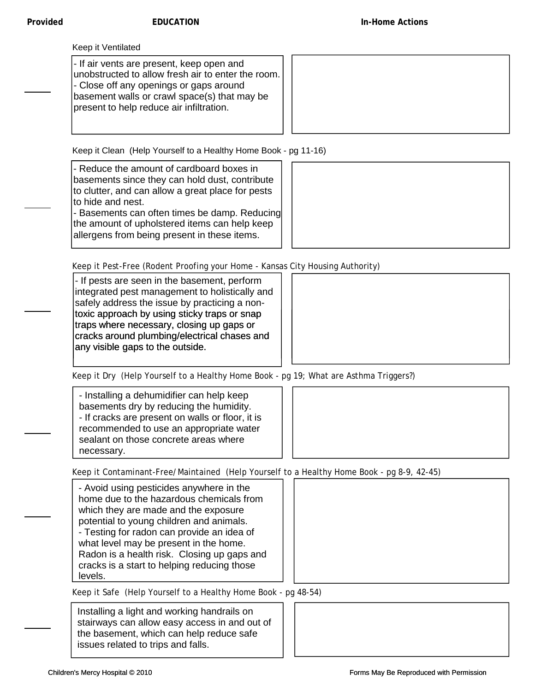- If air vents are present, keep open and unobstructed to allow fresh air to enter the room. - Close off any openings or gaps around basement walls or crawl space(s) that may be present to help reduce air infiltration.

Keep it Clean (Help Yourself to a Healthy Home Book - pg 11-16)

- Reduce the amount of cardboard boxes in basements since they can hold dust, contribute to clutter, and can allow a great place for pests to hide and nest.

- Basements can often times be damp. Reducing the amount of upholstered items can help keep allergens from being present in these items.



Keep it Pest-Free (Rodent Proofing your Home - Kansas City Housing Authority)

- If pests are seen in the basement, perform integrated pest management to holistically and safely address the issue by practicing a nontoxic approach by using sticky traps or snap traps where necessary, closing up gaps or cracks around plumbing/electrical chases and any visible gaps to the outside.



Keep it Dry (Help Yourself to a Healthy Home Book - pg 19; What are Asthma Triggers?)

- Installing a dehumidifier can help keep basements dry by reducing the humidity. - If cracks are present on walls or floor, it is recommended to use an appropriate water sealant on those concrete areas where necessary.

Keep it Contaminant-Free/Maintained (Help Yourself to a Healthy Home Book - pg 8-9, 42-45)

- Avoid using pesticides anywhere in the home due to the hazardous chemicals from which they are made and the exposure potential to young children and animals. - Testing for radon can provide an idea of what level may be present in the home. Radon is a health risk. Closing up gaps and cracks is a start to helping reducing those levels.



Keep it Safe (Help Yourself to a Healthy Home Book - pg 48-54)

Installing a light and working handrails on stairways can allow easy access in and out of the basement, which can help reduce safe issues related to trips and falls.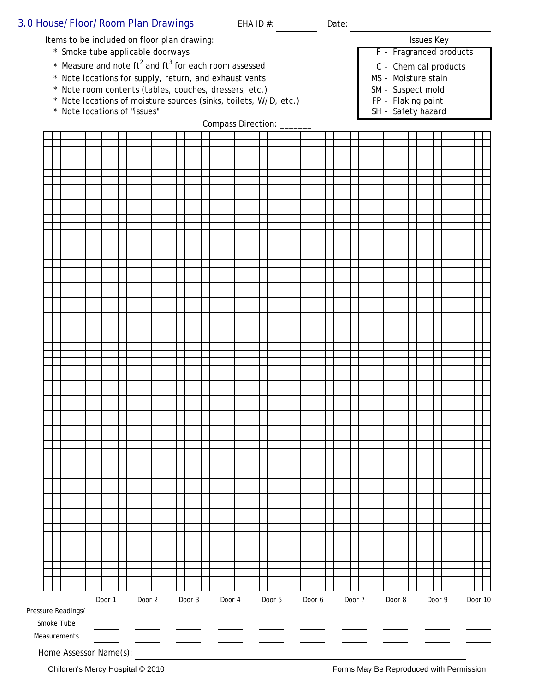### 3.0 House/Floor/Room Plan Drawings EHA ID #: Date: